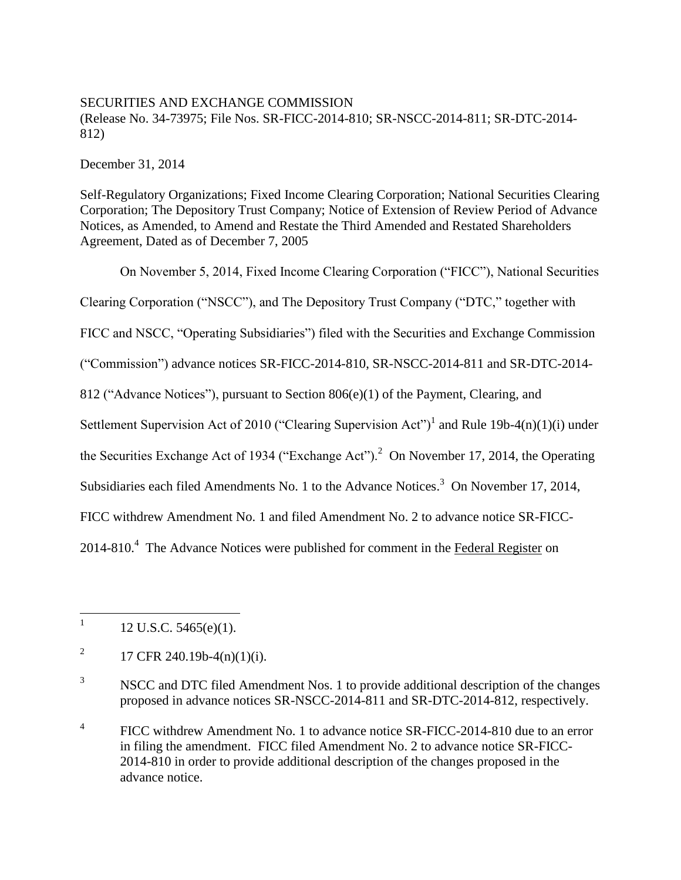## SECURITIES AND EXCHANGE COMMISSION

(Release No. 34-73975; File Nos. SR-FICC-2014-810; SR-NSCC-2014-811; SR-DTC-2014- 812)

December 31, 2014

Self-Regulatory Organizations; Fixed Income Clearing Corporation; National Securities Clearing Corporation; The Depository Trust Company; Notice of Extension of Review Period of Advance Notices, as Amended, to Amend and Restate the Third Amended and Restated Shareholders Agreement, Dated as of December 7, 2005

On November 5, 2014, Fixed Income Clearing Corporation ("FICC"), National Securities Clearing Corporation ("NSCC"), and The Depository Trust Company ("DTC," together with FICC and NSCC, "Operating Subsidiaries") filed with the Securities and Exchange Commission ("Commission") advance notices SR-FICC-2014-810, SR-NSCC-2014-811 and SR-DTC-2014- 812 ("Advance Notices"), pursuant to Section 806(e)(1) of the Payment, Clearing, and Settlement Supervision Act of 2010 ("Clearing Supervision Act")<sup>1</sup> and Rule 19b-4(n)(1)(i) under the Securities Exchange Act of 1934 ("Exchange Act").<sup>2</sup> On November 17, 2014, the Operating Subsidiaries each filed Amendments No. 1 to the Advance Notices.<sup>3</sup> On November 17, 2014, FICC withdrew Amendment No. 1 and filed Amendment No. 2 to advance notice SR-FICC-2014-810.<sup>4</sup> The Advance Notices were published for comment in the Federal Register on

 $\frac{1}{1}$ 12 U.S.C. 5465(e)(1).

<sup>2</sup> 17 CFR 240.19b-4(n)(1)(i).

<sup>&</sup>lt;sup>3</sup> NSCC and DTC filed Amendment Nos. 1 to provide additional description of the changes proposed in advance notices SR-NSCC-2014-811 and SR-DTC-2014-812, respectively.

<sup>4</sup> FICC withdrew Amendment No. 1 to advance notice SR-FICC-2014-810 due to an error in filing the amendment. FICC filed Amendment No. 2 to advance notice SR-FICC-2014-810 in order to provide additional description of the changes proposed in the advance notice.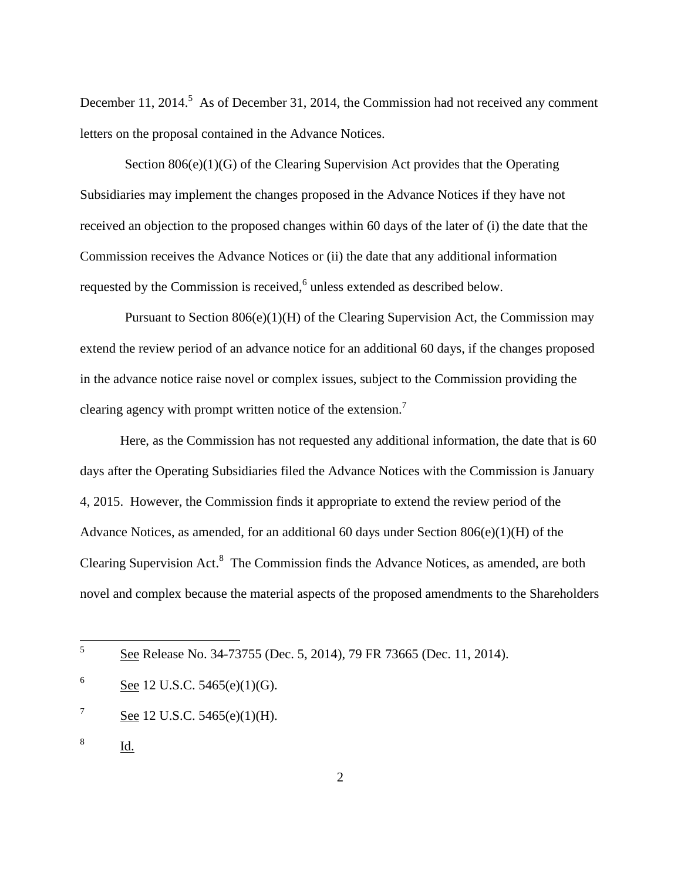December 11, 2014.<sup>5</sup> As of December 31, 2014, the Commission had not received any comment letters on the proposal contained in the Advance Notices.

Section 806(e)(1)(G) of the Clearing Supervision Act provides that the Operating Subsidiaries may implement the changes proposed in the Advance Notices if they have not received an objection to the proposed changes within 60 days of the later of (i) the date that the Commission receives the Advance Notices or (ii) the date that any additional information requested by the Commission is received, $6$  unless extended as described below.

Pursuant to Section 806(e)(1)(H) of the Clearing Supervision Act, the Commission may extend the review period of an advance notice for an additional 60 days, if the changes proposed in the advance notice raise novel or complex issues, subject to the Commission providing the clearing agency with prompt written notice of the extension.<sup>7</sup>

Here, as the Commission has not requested any additional information, the date that is 60 days after the Operating Subsidiaries filed the Advance Notices with the Commission is January 4, 2015. However, the Commission finds it appropriate to extend the review period of the Advance Notices, as amended, for an additional 60 days under Section 806(e)(1)(H) of the Clearing Supervision Act.<sup>8</sup> The Commission finds the Advance Notices, as amended, are both novel and complex because the material aspects of the proposed amendments to the Shareholders

8 Id.

5

See Release No. 34-73755 (Dec. 5, 2014), 79 FR 73665 (Dec. 11, 2014).

<sup>6</sup> See 12 U.S.C. 5465(e)(1)(G).

<sup>7</sup> See 12 U.S.C. 5465(e)(1)(H).